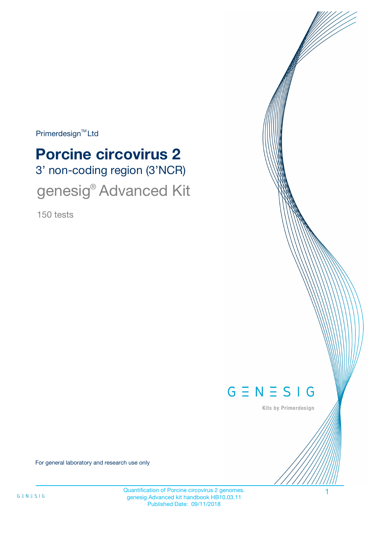$Primerdesign^{\text{TM}}$ Ltd

# 3' non-coding region (3'NCR) **Porcine circovirus 2** genesig<sup>®</sup> Advanced Kit

150 tests



Kits by Primerdesign

For general laboratory and research use only

Quantification of Porcine circovirus 2 genomes. 1 genesig Advanced kit handbook HB10.03.11 Published Date: 09/11/2018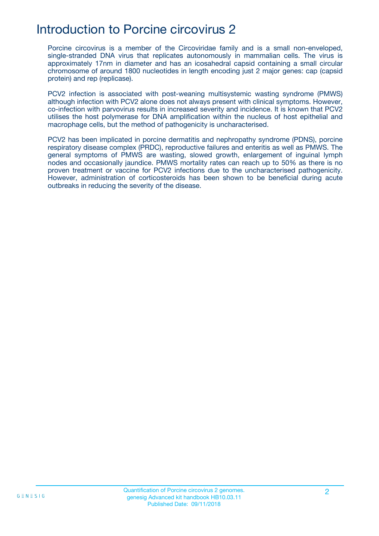### Introduction to Porcine circovirus 2

Porcine circovirus is a member of the Circoviridae family and is a small non-enveloped, single-stranded DNA virus that replicates autonomously in mammalian cells. The virus is approximately 17nm in diameter and has an icosahedral capsid containing a small circular chromosome of around 1800 nucleotides in length encoding just 2 major genes: cap (capsid protein) and rep (replicase).

PCV2 infection is associated with post-weaning multisystemic wasting syndrome (PMWS) although infection with PCV2 alone does not always present with clinical symptoms. However, co-infection with parvovirus results in increased severity and incidence. It is known that PCV2 utilises the host polymerase for DNA amplification within the nucleus of host epithelial and macrophage cells, but the method of pathogenicity is uncharacterised.

PCV2 has been implicated in porcine dermatitis and nephropathy syndrome (PDNS), porcine respiratory disease complex (PRDC), reproductive failures and enteritis as well as PMWS. The general symptoms of PMWS are wasting, slowed growth, enlargement of inguinal lymph nodes and occasionally jaundice. PMWS mortality rates can reach up to 50% as there is no proven treatment or vaccine for PCV2 infections due to the uncharacterised pathogenicity. However, administration of corticosteroids has been shown to be beneficial during acute outbreaks in reducing the severity of the disease.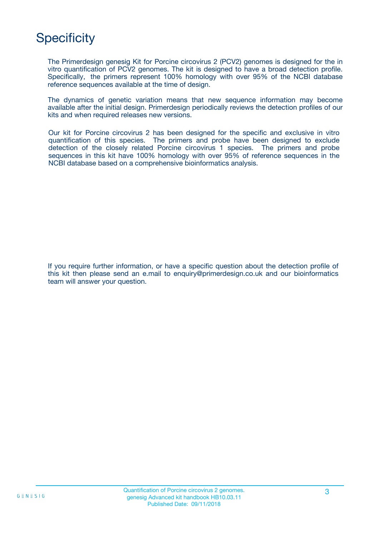# **Specificity**

The Primerdesign genesig Kit for Porcine circovirus 2 (PCV2) genomes is designed for the in vitro quantification of PCV2 genomes. The kit is designed to have a broad detection profile. Specifically, the primers represent 100% homology with over 95% of the NCBI database reference sequences available at the time of design.

The dynamics of genetic variation means that new sequence information may become available after the initial design. Primerdesign periodically reviews the detection profiles of our kits and when required releases new versions.

Our kit for Porcine circovirus 2 has been designed for the specific and exclusive in vitro quantification of this species. The primers and probe have been designed to exclude detection of the closely related Porcine circovirus 1 species. The primers and probe sequences in this kit have 100% homology with over 95% of reference sequences in the NCBI database based on a comprehensive bioinformatics analysis.

If you require further information, or have a specific question about the detection profile of this kit then please send an e.mail to enquiry@primerdesign.co.uk and our bioinformatics team will answer your question.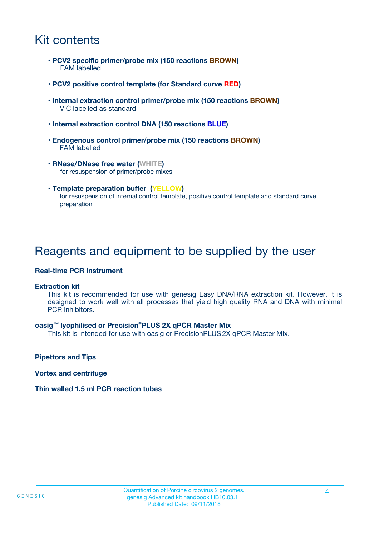## Kit contents

- **PCV2 specific primer/probe mix (150 reactions BROWN)** FAM labelled
- **PCV2 positive control template (for Standard curve RED)**
- **Internal extraction control primer/probe mix (150 reactions BROWN)** VIC labelled as standard
- **Internal extraction control DNA (150 reactions BLUE)**
- **Endogenous control primer/probe mix (150 reactions BROWN)** FAM labelled
- **RNase/DNase free water (WHITE)** for resuspension of primer/probe mixes
- **Template preparation buffer (YELLOW)** for resuspension of internal control template, positive control template and standard curve preparation

### Reagents and equipment to be supplied by the user

#### **Real-time PCR Instrument**

#### **Extraction kit**

This kit is recommended for use with genesig Easy DNA/RNA extraction kit. However, it is designed to work well with all processes that yield high quality RNA and DNA with minimal PCR inhibitors.

#### **oasig**TM **lyophilised or Precision**®**PLUS 2X qPCR Master Mix**

This kit is intended for use with oasig or PrecisionPLUS2X qPCR Master Mix.

**Pipettors and Tips**

**Vortex and centrifuge**

#### **Thin walled 1.5 ml PCR reaction tubes**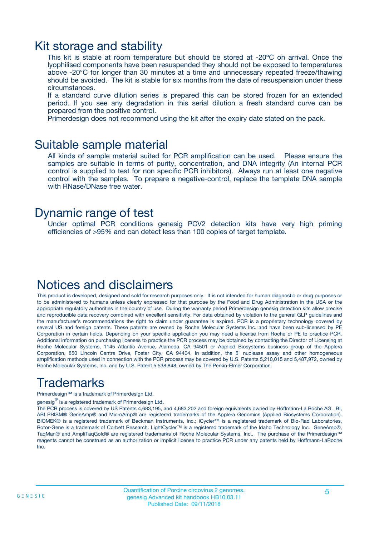### Kit storage and stability

This kit is stable at room temperature but should be stored at -20ºC on arrival. Once the lyophilised components have been resuspended they should not be exposed to temperatures above -20°C for longer than 30 minutes at a time and unnecessary repeated freeze/thawing should be avoided. The kit is stable for six months from the date of resuspension under these circumstances.

If a standard curve dilution series is prepared this can be stored frozen for an extended period. If you see any degradation in this serial dilution a fresh standard curve can be prepared from the positive control.

Primerdesign does not recommend using the kit after the expiry date stated on the pack.

### Suitable sample material

All kinds of sample material suited for PCR amplification can be used. Please ensure the samples are suitable in terms of purity, concentration, and DNA integrity (An internal PCR control is supplied to test for non specific PCR inhibitors). Always run at least one negative control with the samples. To prepare a negative-control, replace the template DNA sample with RNase/DNase free water.

### Dynamic range of test

Under optimal PCR conditions genesig PCV2 detection kits have very high priming efficiencies of >95% and can detect less than 100 copies of target template.

## Notices and disclaimers

This product is developed, designed and sold for research purposes only. It is not intended for human diagnostic or drug purposes or to be administered to humans unless clearly expressed for that purpose by the Food and Drug Administration in the USA or the appropriate regulatory authorities in the country of use. During the warranty period Primerdesign genesig detection kits allow precise and reproducible data recovery combined with excellent sensitivity. For data obtained by violation to the general GLP guidelines and the manufacturer's recommendations the right to claim under guarantee is expired. PCR is a proprietary technology covered by several US and foreign patents. These patents are owned by Roche Molecular Systems Inc. and have been sub-licensed by PE Corporation in certain fields. Depending on your specific application you may need a license from Roche or PE to practice PCR. Additional information on purchasing licenses to practice the PCR process may be obtained by contacting the Director of Licensing at Roche Molecular Systems, 1145 Atlantic Avenue, Alameda, CA 94501 or Applied Biosystems business group of the Applera Corporation, 850 Lincoln Centre Drive, Foster City, CA 94404. In addition, the 5' nuclease assay and other homogeneous amplification methods used in connection with the PCR process may be covered by U.S. Patents 5,210,015 and 5,487,972, owned by Roche Molecular Systems, Inc, and by U.S. Patent 5,538,848, owned by The Perkin-Elmer Corporation.

# Trademarks

Primerdesign™ is a trademark of Primerdesign Ltd.

genesig $^\circledR$  is a registered trademark of Primerdesign Ltd.

The PCR process is covered by US Patents 4,683,195, and 4,683,202 and foreign equivalents owned by Hoffmann-La Roche AG. BI, ABI PRISM® GeneAmp® and MicroAmp® are registered trademarks of the Applera Genomics (Applied Biosystems Corporation). BIOMEK® is a registered trademark of Beckman Instruments, Inc.; iCycler™ is a registered trademark of Bio-Rad Laboratories, Rotor-Gene is a trademark of Corbett Research. LightCycler™ is a registered trademark of the Idaho Technology Inc. GeneAmp®, TaqMan® and AmpliTaqGold® are registered trademarks of Roche Molecular Systems, Inc., The purchase of the Primerdesign™ reagents cannot be construed as an authorization or implicit license to practice PCR under any patents held by Hoffmann-LaRoche Inc.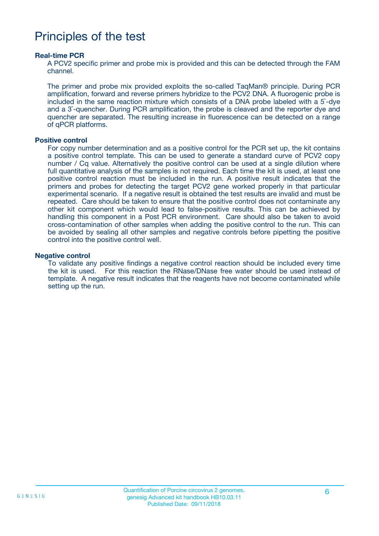### Principles of the test

#### **Real-time PCR**

A PCV2 specific primer and probe mix is provided and this can be detected through the FAM channel.

The primer and probe mix provided exploits the so-called TaqMan® principle. During PCR amplification, forward and reverse primers hybridize to the PCV2 DNA. A fluorogenic probe is included in the same reaction mixture which consists of a DNA probe labeled with a 5`-dye and a 3`-quencher. During PCR amplification, the probe is cleaved and the reporter dye and quencher are separated. The resulting increase in fluorescence can be detected on a range of qPCR platforms.

#### **Positive control**

For copy number determination and as a positive control for the PCR set up, the kit contains a positive control template. This can be used to generate a standard curve of PCV2 copy number / Cq value. Alternatively the positive control can be used at a single dilution where full quantitative analysis of the samples is not required. Each time the kit is used, at least one positive control reaction must be included in the run. A positive result indicates that the primers and probes for detecting the target PCV2 gene worked properly in that particular experimental scenario. If a negative result is obtained the test results are invalid and must be repeated. Care should be taken to ensure that the positive control does not contaminate any other kit component which would lead to false-positive results. This can be achieved by handling this component in a Post PCR environment. Care should also be taken to avoid cross-contamination of other samples when adding the positive control to the run. This can be avoided by sealing all other samples and negative controls before pipetting the positive control into the positive control well.

#### **Negative control**

To validate any positive findings a negative control reaction should be included every time the kit is used. For this reaction the RNase/DNase free water should be used instead of template. A negative result indicates that the reagents have not become contaminated while setting up the run.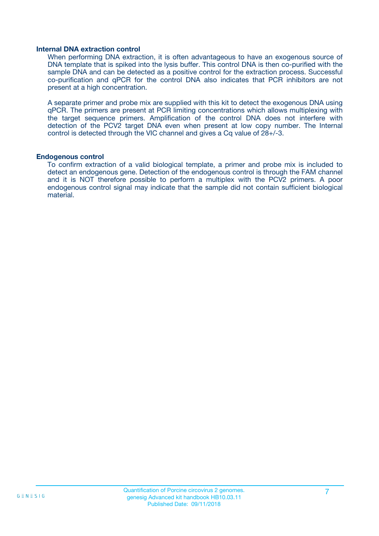#### **Internal DNA extraction control**

When performing DNA extraction, it is often advantageous to have an exogenous source of DNA template that is spiked into the lysis buffer. This control DNA is then co-purified with the sample DNA and can be detected as a positive control for the extraction process. Successful co-purification and qPCR for the control DNA also indicates that PCR inhibitors are not present at a high concentration.

A separate primer and probe mix are supplied with this kit to detect the exogenous DNA using qPCR. The primers are present at PCR limiting concentrations which allows multiplexing with the target sequence primers. Amplification of the control DNA does not interfere with detection of the PCV2 target DNA even when present at low copy number. The Internal control is detected through the VIC channel and gives a Cq value of 28+/-3.

#### **Endogenous control**

To confirm extraction of a valid biological template, a primer and probe mix is included to detect an endogenous gene. Detection of the endogenous control is through the FAM channel and it is NOT therefore possible to perform a multiplex with the PCV2 primers. A poor endogenous control signal may indicate that the sample did not contain sufficient biological material.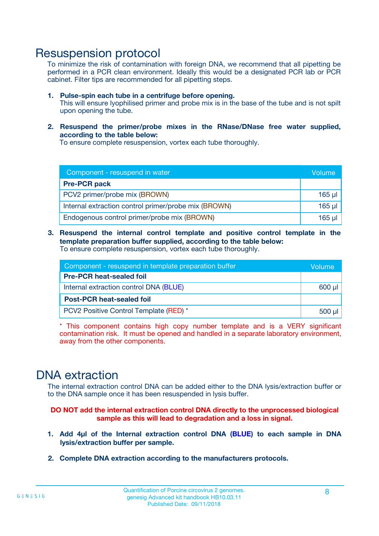### Resuspension protocol

To minimize the risk of contamination with foreign DNA, we recommend that all pipetting be performed in a PCR clean environment. Ideally this would be a designated PCR lab or PCR cabinet. Filter tips are recommended for all pipetting steps.

- **1. Pulse-spin each tube in a centrifuge before opening.** This will ensure lyophilised primer and probe mix is in the base of the tube and is not spilt upon opening the tube.
- **2. Resuspend the primer/probe mixes in the RNase/DNase free water supplied, according to the table below:**

To ensure complete resuspension, vortex each tube thoroughly.

| Component - resuspend in water                       |          |  |
|------------------------------------------------------|----------|--|
| <b>Pre-PCR pack</b>                                  |          |  |
| PCV2 primer/probe mix (BROWN)                        | $165$ µ  |  |
| Internal extraction control primer/probe mix (BROWN) | $165$ µl |  |
| Endogenous control primer/probe mix (BROWN)          | 165 µl   |  |

**3. Resuspend the internal control template and positive control template in the template preparation buffer supplied, according to the table below:** To ensure complete resuspension, vortex each tube thoroughly.

| Component - resuspend in template preparation buffer |  |  |  |
|------------------------------------------------------|--|--|--|
| <b>Pre-PCR heat-sealed foil</b>                      |  |  |  |
| Internal extraction control DNA (BLUE)               |  |  |  |
| <b>Post-PCR heat-sealed foil</b>                     |  |  |  |
| PCV2 Positive Control Template (RED) *               |  |  |  |

\* This component contains high copy number template and is a VERY significant contamination risk. It must be opened and handled in a separate laboratory environment, away from the other components.

### DNA extraction

The internal extraction control DNA can be added either to the DNA lysis/extraction buffer or to the DNA sample once it has been resuspended in lysis buffer.

**DO NOT add the internal extraction control DNA directly to the unprocessed biological sample as this will lead to degradation and a loss in signal.**

- **1. Add 4µl of the Internal extraction control DNA (BLUE) to each sample in DNA lysis/extraction buffer per sample.**
- **2. Complete DNA extraction according to the manufacturers protocols.**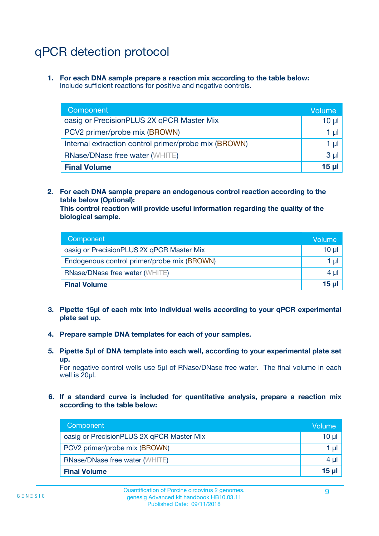# qPCR detection protocol

**1. For each DNA sample prepare a reaction mix according to the table below:** Include sufficient reactions for positive and negative controls.

| Component                                            | Volume   |
|------------------------------------------------------|----------|
| oasig or PrecisionPLUS 2X qPCR Master Mix            | 10 $\mu$ |
| PCV2 primer/probe mix (BROWN)                        | 1 µI     |
| Internal extraction control primer/probe mix (BROWN) | 1 µl     |
| <b>RNase/DNase free water (WHITE)</b>                | $3 \mu$  |
| <b>Final Volume</b>                                  | 15 µl    |

**2. For each DNA sample prepare an endogenous control reaction according to the table below (Optional):**

**This control reaction will provide useful information regarding the quality of the biological sample.**

| Component                                   | Volume          |
|---------------------------------------------|-----------------|
| oasig or PrecisionPLUS 2X qPCR Master Mix   | 10 µl           |
| Endogenous control primer/probe mix (BROWN) | 1 ul            |
| <b>RNase/DNase free water (WHITE)</b>       | $4 \mu$         |
| <b>Final Volume</b>                         | 15 <sub>µ</sub> |

- **3. Pipette 15µl of each mix into individual wells according to your qPCR experimental plate set up.**
- **4. Prepare sample DNA templates for each of your samples.**
- **5. Pipette 5µl of DNA template into each well, according to your experimental plate set up.**

For negative control wells use 5µl of RNase/DNase free water. The final volume in each well is 20ul.

**6. If a standard curve is included for quantitative analysis, prepare a reaction mix according to the table below:**

| Component                                 | Volume  |
|-------------------------------------------|---------|
| oasig or PrecisionPLUS 2X qPCR Master Mix | 10 µl   |
| PCV2 primer/probe mix (BROWN)             | 1 µI    |
| <b>RNase/DNase free water (WHITE)</b>     | $4 \mu$ |
| <b>Final Volume</b>                       | 15 µl   |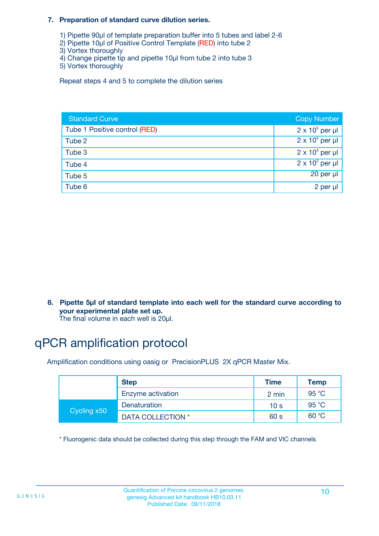#### **7. Preparation of standard curve dilution series.**

- 1) Pipette 90µl of template preparation buffer into 5 tubes and label 2-6
- 2) Pipette 10µl of Positive Control Template (RED) into tube 2
- 3) Vortex thoroughly
- 4) Change pipette tip and pipette 10µl from tube 2 into tube 3
- 5) Vortex thoroughly

Repeat steps 4 and 5 to complete the dilution series

| <b>Standard Curve</b>         | <b>Copy Number</b>     |
|-------------------------------|------------------------|
| Tube 1 Positive control (RED) | $2 \times 10^5$ per µl |
| Tube 2                        | $2 \times 10^4$ per µl |
| Tube 3                        | $2 \times 10^3$ per µl |
| Tube 4                        | $2 \times 10^2$ per µl |
| Tube 5                        | 20 per µl              |
| Tube 6                        | 2 per µl               |

**8. Pipette 5µl of standard template into each well for the standard curve according to your experimental plate set up.**

#### The final volume in each well is 20µl.

# qPCR amplification protocol

Amplification conditions using oasig or PrecisionPLUS 2X qPCR Master Mix.

|             | <b>Step</b>       | <b>Time</b>     | Temp    |
|-------------|-------------------|-----------------|---------|
|             | Enzyme activation | 2 min           | 95 °C   |
| Cycling x50 | Denaturation      | 10 <sub>s</sub> | 95 $°C$ |
|             | DATA COLLECTION * | 60 s            | 60 °C   |

\* Fluorogenic data should be collected during this step through the FAM and VIC channels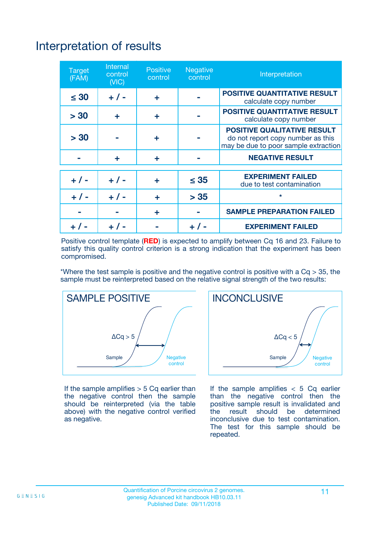# Interpretation of results

| <b>Target</b><br>(FAM) | <b>Internal</b><br>control<br>(NIC) | <b>Positive</b><br>control | <b>Negative</b><br>control | Interpretation                                                                                                  |
|------------------------|-------------------------------------|----------------------------|----------------------------|-----------------------------------------------------------------------------------------------------------------|
| $\leq 30$              | $+ 1 -$                             | ÷                          |                            | <b>POSITIVE QUANTITATIVE RESULT</b><br>calculate copy number                                                    |
| > 30                   | ٠                                   | ÷                          |                            | <b>POSITIVE QUANTITATIVE RESULT</b><br>calculate copy number                                                    |
| > 30                   |                                     | ÷                          |                            | <b>POSITIVE QUALITATIVE RESULT</b><br>do not report copy number as this<br>may be due to poor sample extraction |
|                        | ÷                                   | ÷                          |                            | <b>NEGATIVE RESULT</b>                                                                                          |
| $+ 1 -$                | $+ 1 -$                             | ÷                          | $\leq$ 35                  | <b>EXPERIMENT FAILED</b><br>due to test contamination                                                           |
| $+$ / -                | $+ 1 -$                             | ÷                          | > 35                       | $\star$                                                                                                         |
|                        |                                     | ÷                          |                            | <b>SAMPLE PREPARATION FAILED</b>                                                                                |
|                        |                                     |                            | $+$ /                      | <b>EXPERIMENT FAILED</b>                                                                                        |

Positive control template (**RED**) is expected to amplify between Cq 16 and 23. Failure to satisfy this quality control criterion is a strong indication that the experiment has been compromised.

\*Where the test sample is positive and the negative control is positive with a  $Ca > 35$ , the sample must be reinterpreted based on the relative signal strength of the two results:



If the sample amplifies  $> 5$  Cq earlier than the negative control then the sample should be reinterpreted (via the table above) with the negative control verified as negative.



If the sample amplifies  $< 5$  Cq earlier than the negative control then the positive sample result is invalidated and<br>the result should be determined  $the$  result should be inconclusive due to test contamination. The test for this sample should be repeated.